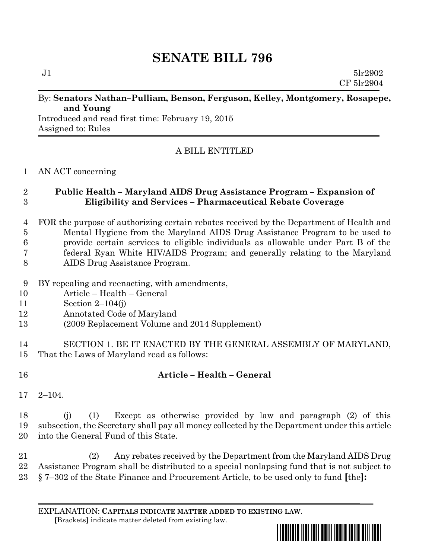# **SENATE BILL 796**

 $J1$  5lr2902 CF 5lr2904

#### By: **Senators Nathan–Pulliam, Benson, Ferguson, Kelley, Montgomery, Rosapepe, and Young**

Introduced and read first time: February 19, 2015 Assigned to: Rules

# A BILL ENTITLED

#### AN ACT concerning

### **Public Health – Maryland AIDS Drug Assistance Program – Expansion of Eligibility and Services – Pharmaceutical Rebate Coverage**

- FOR the purpose of authorizing certain rebates received by the Department of Health and Mental Hygiene from the Maryland AIDS Drug Assistance Program to be used to provide certain services to eligible individuals as allowable under Part B of the federal Ryan White HIV/AIDS Program; and generally relating to the Maryland AIDS Drug Assistance Program.
- BY repealing and reenacting, with amendments,
- Article Health General
- Section 2–104(j)
- Annotated Code of Maryland
- (2009 Replacement Volume and 2014 Supplement)
- SECTION 1. BE IT ENACTED BY THE GENERAL ASSEMBLY OF MARYLAND, That the Laws of Maryland read as follows:

# **Article – Health – General**

2–104.

 (j) (1) Except as otherwise provided by law and paragraph (2) of this subsection, the Secretary shall pay all money collected by the Department under this article into the General Fund of this State.

 (2) Any rebates received by the Department from the Maryland AIDS Drug Assistance Program shall be distributed to a special nonlapsing fund that is not subject to § 7–302 of the State Finance and Procurement Article, to be used only to fund **[**the**]:**

EXPLANATION: **CAPITALS INDICATE MATTER ADDED TO EXISTING LAW**.  **[**Brackets**]** indicate matter deleted from existing law.